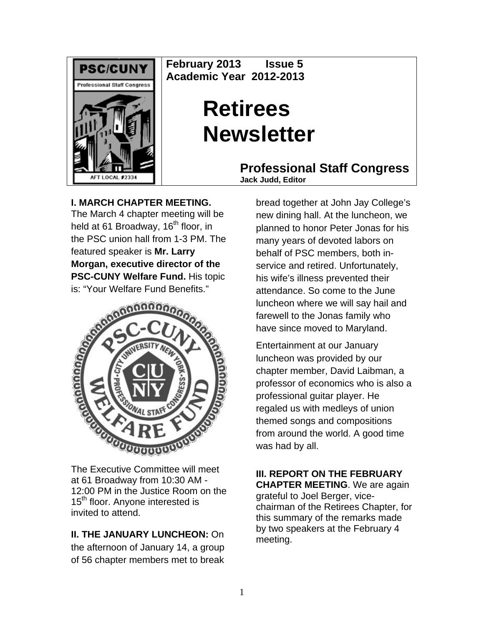

**February 2013 Issue 5 Academic Year 2012-2013** 

# **Retirees Newsletter**

**Professional Staff Congress Jack Judd, Editor**

**I. MARCH CHAPTER MEETING.** 

The March 4 chapter meeting will be held at 61 Broadway, 16<sup>th</sup> floor, in the PSC union hall from 1-3 PM. The featured speaker is **Mr. Larry Morgan, executive director of the PSC-CUNY Welfare Fund.** His topic is: "Your Welfare Fund Benefits."



The Executive Committee will meet at 61 Broadway from 10:30 AM - 12:00 PM in the Justice Room on the 15<sup>th</sup> floor. Anyone interested is invited to attend.

# **II. THE JANUARY LUNCHEON:** On

the afternoon of January 14, a group of 56 chapter members met to break

bread together at John Jay College's new dining hall. At the luncheon, we planned to honor Peter Jonas for his many years of devoted labors on behalf of PSC members, both inservice and retired. Unfortunately, his wife's illness prevented their attendance. So come to the June luncheon where we will say hail and farewell to the Jonas family who have since moved to Maryland.

Entertainment at our January luncheon was provided by our chapter member, David Laibman, a professor of economics who is also a professional guitar player. He regaled us with medleys of union themed songs and compositions from around the world. A good time was had by all.

**III. REPORT ON THE FEBRUARY CHAPTER MEETING**. We are again grateful to Joel Berger, vicechairman of the Retirees Chapter, for this summary of the remarks made by two speakers at the February 4 meeting.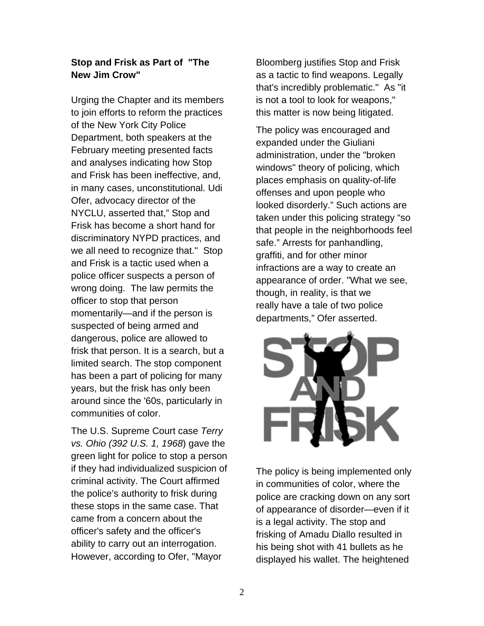## **Stop and Frisk as Part of "The New Jim Crow"**

Urging the Chapter and its members to join efforts to reform the practices of the New York City Police Department, both speakers at the February meeting presented facts and analyses indicating how Stop and Frisk has been ineffective, and, in many cases, unconstitutional. Udi Ofer, advocacy director of the NYCLU, asserted that," Stop and Frisk has become a short hand for discriminatory NYPD practices, and we all need to recognize that." Stop and Frisk is a tactic used when a police officer suspects a person of wrong doing. The law permits the officer to stop that person momentarily—and if the person is suspected of being armed and dangerous, police are allowed to frisk that person. It is a search, but a limited search. The stop component has been a part of policing for many years, but the frisk has only been around since the '60s, particularly in communities of color.

The U.S. Supreme Court case *Terry vs. Ohio (392 U.S. 1, 1968*) gave the green light for police to stop a person if they had individualized suspicion of criminal activity. The Court affirmed the police's authority to frisk during these stops in the same case. That came from a concern about the officer's safety and the officer's ability to carry out an interrogation. However, according to Ofer, "Mayor

Bloomberg justifies Stop and Frisk as a tactic to find weapons. Legally that's incredibly problematic." As "it is not a tool to look for weapons," this matter is now being litigated.

The policy was encouraged and expanded under the Giuliani administration, under the "broken windows" theory of policing, which places emphasis on quality-of-life offenses and upon people who looked disorderly." Such actions are taken under this policing strategy "so that people in the neighborhoods feel safe." Arrests for panhandling, graffiti, and for other minor infractions are a way to create an appearance of order. "What we see, though, in reality, is that we really have a tale of two police departments," Ofer asserted.



The policy is being implemented only in communities of color, where the police are cracking down on any sort of appearance of disorder—even if it is a legal activity. The stop and frisking of Amadu Diallo resulted in his being shot with 41 bullets as he displayed his wallet. The heightened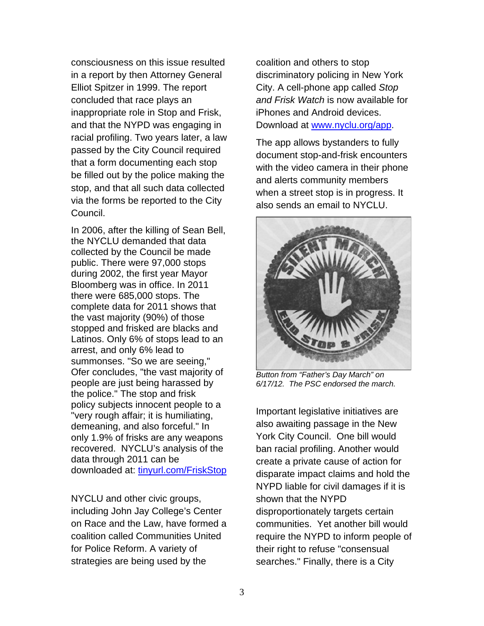consciousness on this issue resulted in a report by then Attorney General Elliot Spitzer in 1999. The report concluded that race plays an inappropriate role in Stop and Frisk, and that the NYPD was engaging in racial profiling. Two years later, a law passed by the City Council required that a form documenting each stop be filled out by the police making the stop, and that all such data collected via the forms be reported to the City Council.

In 2006, after the killing of Sean Bell, the NYCLU demanded that data collected by the Council be made public. There were 97,000 stops during 2002, the first year Mayor Bloomberg was in office. In 2011 there were 685,000 stops. The complete data for 2011 shows that the vast majority (90%) of those stopped and frisked are blacks and Latinos. Only 6% of stops lead to an arrest, and only 6% lead to summonses. "So we are seeing," Ofer concludes, "the vast majority of people are just being harassed by the police." The stop and frisk policy subjects innocent people to a "very rough affair; it is humiliating, demeaning, and also forceful." In only 1.9% of frisks are any weapons recovered. NYCLU's analysis of the data through 2011 can be downloaded at: [tinyurl.com/FriskStop](http://tinyurl/FriskStop)

NYCLU and other civic groups, including John Jay College's Center on Race and the Law, have formed a coalition called Communities United for Police Reform. A variety of strategies are being used by the

coalition and others to stop discriminatory policing in New York City. A cell-phone app called *Stop and Frisk Watch* is now available for iPhones and Android devices. Download at [www.nyclu.org/app](http://www.nyclu.org/app).

The app allows bystanders to fully document stop-and-frisk encounters with the video camera in their phone and alerts community members when a street stop is in progress. It also sends an email to NYCLU.



*Button from "Father's Day March" on 6/17/12. The PSC endorsed the march.* 

Important legislative initiatives are also awaiting passage in the New York City Council. One bill would ban racial profiling. Another would create a private cause of action for disparate impact claims and hold the NYPD liable for civil damages if it is shown that the NYPD disproportionately targets certain communities. Yet another bill would require the NYPD to inform people of their right to refuse "consensual searches." Finally, there is a City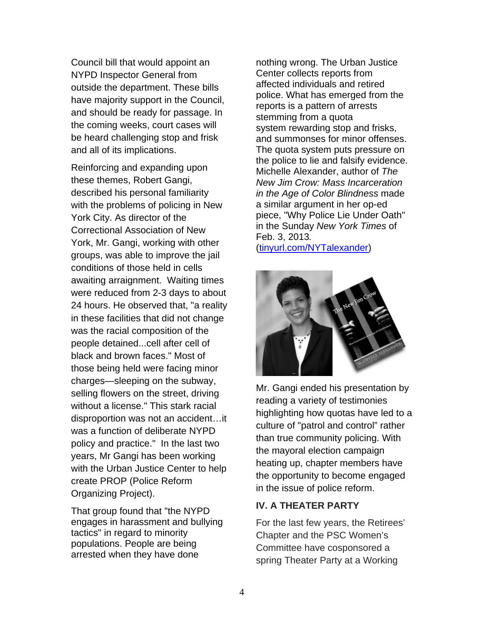Council bill that would appoint an NYPD Inspector General from outside the department. These bills have majority support in the Council, and should be ready for passage. In the coming weeks, court cases will be heard challenging stop and frisk and all of its implications.

Reinforcing and expanding upon these themes, Robert Gangi, described his personal familiarity with the problems of policing in New York City. As director of the Correctional Association of New York, Mr. Gangi, working with other groups, was able to improve the jail conditions of those held in cells awaiting arraignment. Waiting times were reduced from 2-3 days to about 24 hours. He observed that, "a reality in these facilities that did not change was the racial composition of the people detained...cell after cell of black and brown faces." Most of those being held were facing minor charges—sleeping on the subway, selling flowers on the street, driving without a license." This stark racial disproportion was not an accident…it was a function of deliberate NYPD policy and practice." In the last two years, Mr Gangi has been working with the Urban Justice Center to help create PROP (Police Reform Organizing Project).

That group found that "the NYPD engages in harassment and bullying tactics" in regard to minority populations. People are being arrested when they have done

nothing wrong. The Urban Justice Center collects reports from affected individuals and retired police. What has emerged from the reports is a pattern of arrests stemming from a quota system rewarding stop and frisks, and summonses for minor offenses. The quota system puts pressure on the police to lie and falsify evidence. Michelle Alexander, author of *The New Jim Crow: Mass Incarceration in the Age of Color Blindness* made a similar argument in her op-ed piece, "Why Police Lie Under Oath" in the Sunday *New York Times* of Feb. 3, 2013*.*

([tinyurl.com/NYTalexander](http://tinyurl.com/NYTalexander))



Mr. Gangi ended his presentation by reading a variety of testimonies highlighting how quotas have led to a culture of "patrol and control" rather than true community policing. With the mayoral election campaign heating up, chapter members have the opportunity to become engaged in the issue of police reform.

## **IV. A THEATER PARTY**

For the last few years, the Retirees' Chapter and the PSC Women's Committee have cosponsored a spring Theater Party at a Working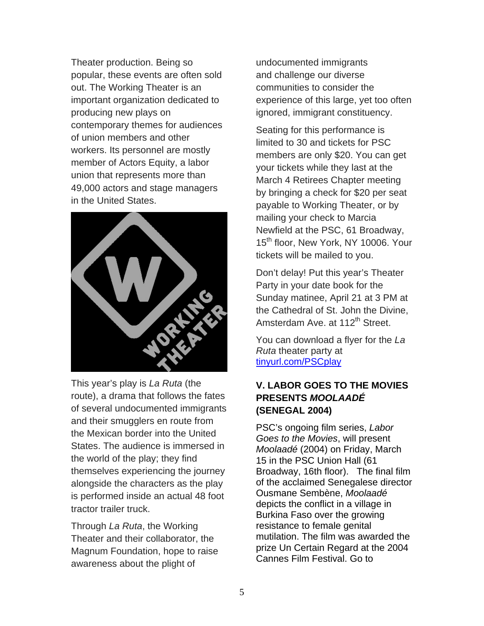Theater production. Being so popular, these events are often sold out. The Working Theater is an important organization dedicated to producing new plays on contemporary themes for audiences of union members and other workers. Its personnel are mostly member of Actors Equity, a labor union that represents more than 49,000 actors and stage managers in the United States.



This year's play is *La Ruta* (the route), a drama that follows the fates of several undocumented immigrants and their smugglers en route from the Mexican border into the United States. The audience is immersed in the world of the play; they find themselves experiencing the journey alongside the characters as the play is performed inside an actual 48 foot tractor trailer truck.

Through *La Ruta*, the Working Theater and their collaborator, the Magnum Foundation, hope to raise awareness about the plight of

undocumented immigrants and challenge our diverse communities to consider th e experience of this large, yet to o often ignored, immigrant constituency.

Seating for this performance is members are only \$20. You can get Newfield at the PSC, 61 Broadway, 15<sup>th</sup> floor, New York, NY 10006. Your limited to 30 and tickets for PSC your tickets while they last at the March 4 Retirees Chapter meeting by bringing a check for \$20 per seat payable to Working Theater, or by mailing your check to Marcia tickets will be mailed to you.

Don't delay! Put this year's Theater Sunday matinee, April 21 at 3 PM at Party in your date book for the the Cathedral of St. John the Divine, Amsterdam Ave. at 112<sup>th</sup> Street.

You can download a flyer for the *La Ruta* theater party at [tinyurl.com/PSCplay](http://tinyurl.com/PSCplay)

## **V . LABOR GOES TO THE MOVIES PRESENTS** *MOOLAADÉ*  **(SENEGAL 2004)**

PSC's ongoing film series, Labor Moolaadé (2004) on Friday, March Broadway, 16th floor). The final film mutilation. The film was awarded the *Goes to the Movies*, will present 15 in the PSC Union Hall (61 of the acclaimed Senegalese director Ousmane Sembène, *Moolaadé*  depicts the conflict in a village in Burkina Faso over the growing resistance to female genital prize Un Certain Regard at the 2004 Cannes Film Festival. Go to